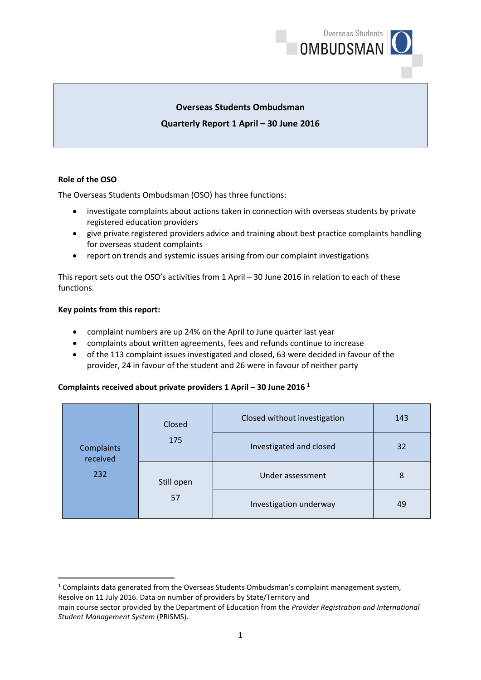

## **Overseas Students Ombudsman**

## **Quarterly Report 1 April – 30 June 2016**

### **Role of the OSO**

The Overseas Students Ombudsman (OSO) has three functions:

- investigate complaints about actions taken in connection with overseas students by private registered education providers
- give private registered providers advice and training about best practice complaints handling for overseas student complaints
- report on trends and systemic issues arising from our complaint investigations

This report sets out the OSO's activities from 1 April – 30 June 2016 in relation to each of these functions.

#### **Key points from this report:**

**.** 

- complaint numbers are up 24% on the April to June quarter last year
- complaints about written agreements, fees and refunds continue to increase
- of the 113 complaint issues investigated and closed, 63 were decided in favour of the provider, 24 in favour of the student and 26 were in favour of neither party

## **Complaints received about private providers 1 April – 30 June 2016 1**

| Closed<br>175<br>Complaints<br>received<br>232<br>Still open<br>57 |                         | Closed without investigation | 143 |
|--------------------------------------------------------------------|-------------------------|------------------------------|-----|
|                                                                    | Investigated and closed | 32                           |     |
|                                                                    | Under assessment        | 8                            |     |
|                                                                    |                         | Investigation underway       | 49  |

 $1$  Complaints data generated from the Overseas Students Ombudsman's complaint management system, Resolve on 11 July 2016. Data on number of providers by State/Territory and

main course sector provided by the Department of Education from the *Provider Registration and International Student Management System* (PRISMS).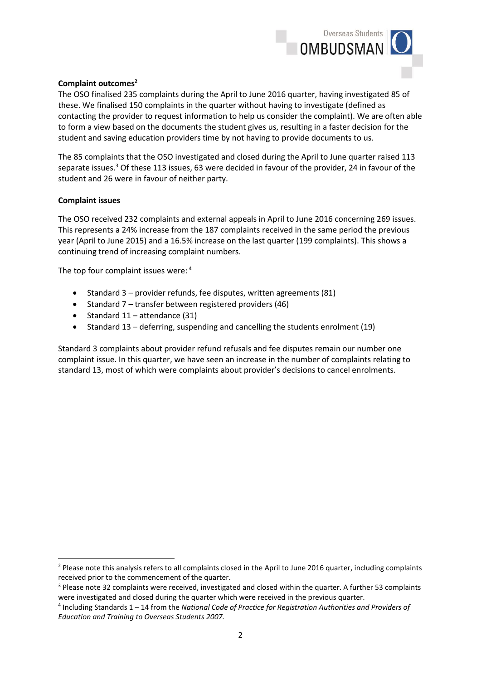

#### **Complaint outcomes<sup>2</sup>**

The OSO finalised 235 complaints during the April to June 2016 quarter, having investigated 85 of these. We finalised 150 complaints in the quarter without having to investigate (defined as contacting the provider to request information to help us consider the complaint). We are often able to form a view based on the documents the student gives us, resulting in a faster decision for the student and saving education providers time by not having to provide documents to us.

The 85 complaints that the OSO investigated and closed during the April to June quarter raised 113 separate issues.<sup>3</sup> Of these 113 issues, 63 were decided in favour of the provider, 24 in favour of the student and 26 were in favour of neither party.

#### **Complaint issues**

**.** 

The OSO received 232 complaints and external appeals in April to June 2016 concerning 269 issues. This represents a 24% increase from the 187 complaints received in the same period the previous year (April to June 2015) and a 16.5% increase on the last quarter (199 complaints). This shows a continuing trend of increasing complaint numbers.

The top four complaint issues were: <sup>4</sup>

- Standard  $3$  provider refunds, fee disputes, written agreements (81)
- Standard 7 transfer between registered providers (46)
- Standard  $11 -$ attendance (31)
- $\bullet$  Standard 13 deferring, suspending and cancelling the students enrolment (19)

Standard 3 complaints about provider refund refusals and fee disputes remain our number one complaint issue. In this quarter, we have seen an increase in the number of complaints relating to standard 13, most of which were complaints about provider's decisions to cancel enrolments.

<sup>&</sup>lt;sup>2</sup> Please note this analysis refers to all complaints closed in the April to June 2016 quarter, including complaints received prior to the commencement of the quarter.

<sup>3</sup> Please note 32 complaints were received, investigated and closed within the quarter. A further 53 complaints were investigated and closed during the quarter which were received in the previous quarter.

<sup>4</sup> Including Standards 1 – 14 from the *National Code of Practice for Registration Authorities and Providers of Education and Training to Overseas Students 2007.*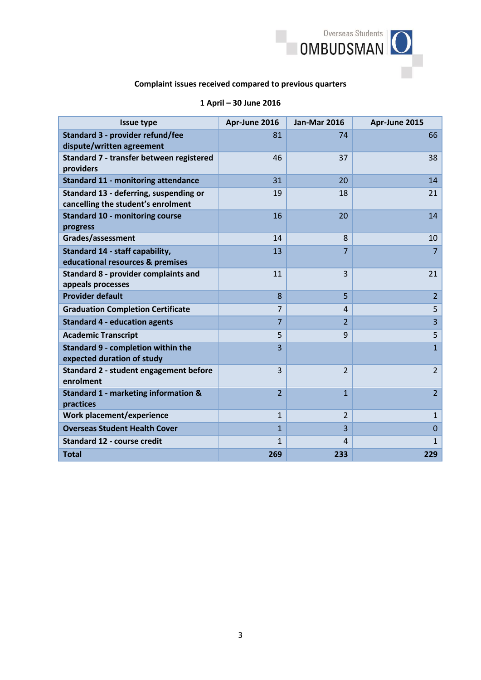

# **Complaint issues received compared to previous quarters**

## **1 April – 30 June 2016**

| <b>Issue type</b>                                                            | Apr-June 2016  | <b>Jan-Mar 2016</b> | Apr-June 2015  |
|------------------------------------------------------------------------------|----------------|---------------------|----------------|
| Standard 3 - provider refund/fee<br>dispute/written agreement                | 81             | 74                  | 66             |
| Standard 7 - transfer between registered<br>providers                        | 46             | 37                  | 38             |
| <b>Standard 11 - monitoring attendance</b>                                   | 31             | 20                  | 14             |
| Standard 13 - deferring, suspending or<br>cancelling the student's enrolment | 19             | 18                  | 21             |
| <b>Standard 10 - monitoring course</b><br>progress                           | 16             | 20                  | 14             |
| Grades/assessment                                                            | 14             | 8                   | 10             |
| Standard 14 - staff capability,<br>educational resources & premises          | 13             | $\overline{7}$      | $\overline{7}$ |
| Standard 8 - provider complaints and<br>appeals processes                    | 11             | 3                   | 21             |
| <b>Provider default</b>                                                      | 8              | 5                   | $\overline{2}$ |
| <b>Graduation Completion Certificate</b>                                     | $\overline{7}$ | $\overline{4}$      | 5              |
| <b>Standard 4 - education agents</b>                                         | $\overline{7}$ | $\overline{2}$      | $\overline{3}$ |
| <b>Academic Transcript</b>                                                   | 5              | 9                   | 5              |
| <b>Standard 9 - completion within the</b><br>expected duration of study      | 3              |                     | $\overline{1}$ |
| Standard 2 - student engagement before<br>enrolment                          | $\overline{3}$ | $\overline{2}$      | $\overline{2}$ |
| Standard 1 - marketing information &<br>practices                            | $\overline{2}$ | $\overline{1}$      | $\overline{2}$ |
| Work placement/experience                                                    | $\mathbf{1}$   | $\overline{2}$      | $\mathbf{1}$   |
| <b>Overseas Student Health Cover</b>                                         | $\overline{1}$ | $\overline{3}$      | $\Omega$       |
| <b>Standard 12 - course credit</b>                                           | $\mathbf{1}$   | $\overline{4}$      | $\mathbf{1}$   |
| <b>Total</b>                                                                 | 269            | 233                 | 229            |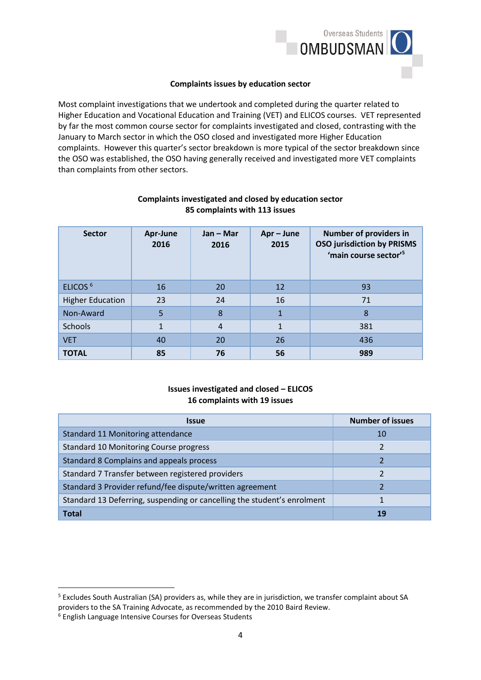

#### **Complaints issues by education sector**

Most complaint investigations that we undertook and completed during the quarter related to Higher Education and Vocational Education and Training (VET) and ELICOS courses. VET represented by far the most common course sector for complaints investigated and closed, contrasting with the January to March sector in which the OSO closed and investigated more Higher Education complaints. However this quarter's sector breakdown is more typical of the sector breakdown since the OSO was established, the OSO having generally received and investigated more VET complaints than complaints from other sectors.

| <b>Sector</b>           | Apr-June<br>2016 | $Jan - Mar$<br>2016 | Apr-June<br>2015 | <b>Number of providers in</b><br><b>OSO jurisdiction by PRISMS</b><br>'main course sector' <sup>5</sup> |
|-------------------------|------------------|---------------------|------------------|---------------------------------------------------------------------------------------------------------|
| ELICOS <sup>6</sup>     | 16               | 20                  | 12               | 93                                                                                                      |
| <b>Higher Education</b> | 23               | 24                  | 16               | 71                                                                                                      |
| Non-Award               | 5                | 8                   | $\mathbf{1}$     | 8                                                                                                       |
| <b>Schools</b>          | $\mathbf{1}$     | $\overline{4}$      | $\mathbf{1}$     | 381                                                                                                     |
| <b>VET</b>              | 40               | 20                  | 26               | 436                                                                                                     |
| <b>TOTAL</b>            | 85               | 76                  | 56               | 989                                                                                                     |

### **Complaints investigated and closed by education sector 85 complaints with 113 issues**

## **Issues investigated and closed – ELICOS 16 complaints with 19 issues**

| <b>Issue</b>                                                            | <b>Number of issues</b> |
|-------------------------------------------------------------------------|-------------------------|
| Standard 11 Monitoring attendance                                       | 10                      |
| <b>Standard 10 Monitoring Course progress</b>                           | 2                       |
| Standard 8 Complains and appeals process                                |                         |
| Standard 7 Transfer between registered providers                        |                         |
| Standard 3 Provider refund/fee dispute/written agreement                |                         |
| Standard 13 Deferring, suspending or cancelling the student's enrolment |                         |
| Total                                                                   | 19                      |

**.** 

<sup>5</sup> Excludes South Australian (SA) providers as, while they are in jurisdiction, we transfer complaint about SA providers to the SA Training Advocate, as recommended by the 2010 Baird Review.

<sup>6</sup> English Language Intensive Courses for Overseas Students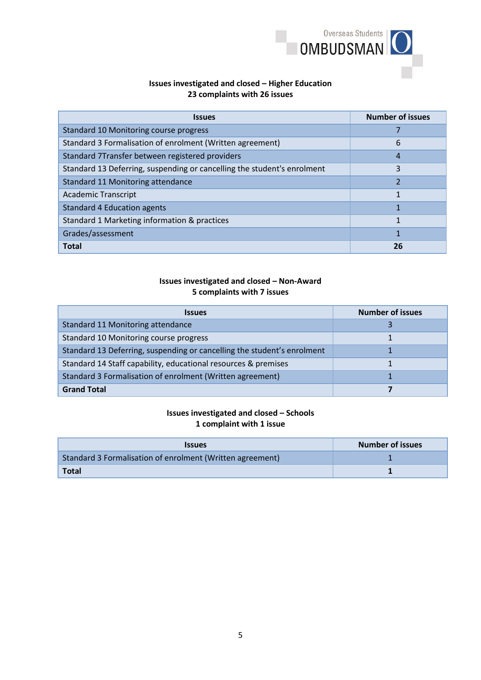

## **Issues investigated and closed – Higher Education 23 complaints with 26 issues**

| <b>Issues</b>                                                           | <b>Number of issues</b> |
|-------------------------------------------------------------------------|-------------------------|
| Standard 10 Monitoring course progress                                  |                         |
| Standard 3 Formalisation of enrolment (Written agreement)               | 6                       |
| Standard 7Transfer between registered providers                         | 4                       |
| Standard 13 Deferring, suspending or cancelling the student's enrolment | 3                       |
| Standard 11 Monitoring attendance                                       | $\overline{2}$          |
| <b>Academic Transcript</b>                                              | 1                       |
| <b>Standard 4 Education agents</b>                                      |                         |
| Standard 1 Marketing information & practices                            | 1                       |
| Grades/assessment                                                       |                         |
| <b>Total</b>                                                            | 26                      |

## **Issues investigated and closed – Non-Award 5 complaints with 7 issues**

| <i><b>Issues</b></i>                                                    | <b>Number of issues</b> |
|-------------------------------------------------------------------------|-------------------------|
| Standard 11 Monitoring attendance                                       |                         |
| Standard 10 Monitoring course progress                                  |                         |
| Standard 13 Deferring, suspending or cancelling the student's enrolment |                         |
| Standard 14 Staff capability, educational resources & premises          |                         |
| Standard 3 Formalisation of enrolment (Written agreement)               |                         |
| <b>Grand Total</b>                                                      |                         |

### **Issues investigated and closed – Schools 1 complaint with 1 issue**

| <b>Issues</b>                                             | <b>Number of issues</b> |
|-----------------------------------------------------------|-------------------------|
| Standard 3 Formalisation of enrolment (Written agreement) |                         |
| <b>Total</b>                                              |                         |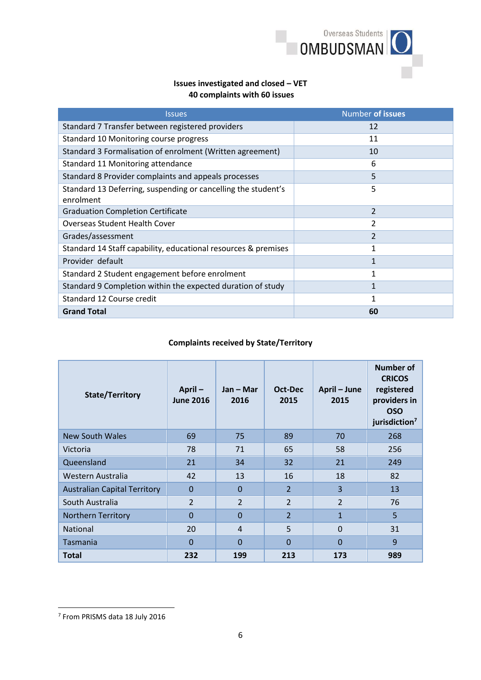

## **Issues investigated and closed – VET 40 complaints with 60 issues**

| <b>Issues</b>                                                              | Number of issues |
|----------------------------------------------------------------------------|------------------|
| Standard 7 Transfer between registered providers                           | 12               |
| Standard 10 Monitoring course progress                                     | 11               |
| Standard 3 Formalisation of enrolment (Written agreement)                  | 10               |
| Standard 11 Monitoring attendance                                          | 6                |
| Standard 8 Provider complaints and appeals processes                       | 5                |
| Standard 13 Deferring, suspending or cancelling the student's<br>enrolment | 5                |
| <b>Graduation Completion Certificate</b>                                   | $\overline{2}$   |
| <b>Overseas Student Health Cover</b>                                       | 2                |
| Grades/assessment                                                          | 2                |
| Standard 14 Staff capability, educational resources & premises             | 1                |
| Provider default                                                           | 1                |
| Standard 2 Student engagement before enrolment                             | 1                |
| Standard 9 Completion within the expected duration of study                |                  |
| Standard 12 Course credit                                                  | 1                |
| <b>Grand Total</b>                                                         | 60               |

## **Complaints received by State/Territory**

| <b>State/Territory</b>              | April $-$<br><b>June 2016</b> | Jan – Mar<br>2016 | Oct-Dec<br>2015 | April – June<br>2015 | <b>Number of</b><br><b>CRICOS</b><br>registered<br>providers in<br><b>OSO</b><br>jurisdiction <sup>7</sup> |
|-------------------------------------|-------------------------------|-------------------|-----------------|----------------------|------------------------------------------------------------------------------------------------------------|
| <b>New South Wales</b>              | 69                            | 75                | 89              | 70                   | 268                                                                                                        |
| Victoria                            | 78                            | 71                | 65              | 58                   | 256                                                                                                        |
| Queensland                          | 21                            | 34                | 32              | 21                   | 249                                                                                                        |
| Western Australia                   | 42                            | 13                | 16              | 18                   | 82                                                                                                         |
| <b>Australian Capital Territory</b> | $\mathbf{0}$                  | $\Omega$          | $\overline{2}$  | 3                    | 13                                                                                                         |
| South Australia                     | $\overline{2}$                | $\overline{2}$    | $\overline{2}$  | $\overline{2}$       | 76                                                                                                         |
| <b>Northern Territory</b>           | $\Omega$                      | $\Omega$          | $\overline{2}$  | $\mathbf{1}$         | 5                                                                                                          |
| <b>National</b>                     | 20                            | $\overline{4}$    | 5               | $\Omega$             | 31                                                                                                         |
| Tasmania                            | $\Omega$                      | 0                 | $\Omega$        | $\overline{0}$       | 9                                                                                                          |
| <b>Total</b>                        | 232                           | 199               | 213             | 173                  | 989                                                                                                        |

**.** 

<sup>7</sup> From PRISMS data 18 July 2016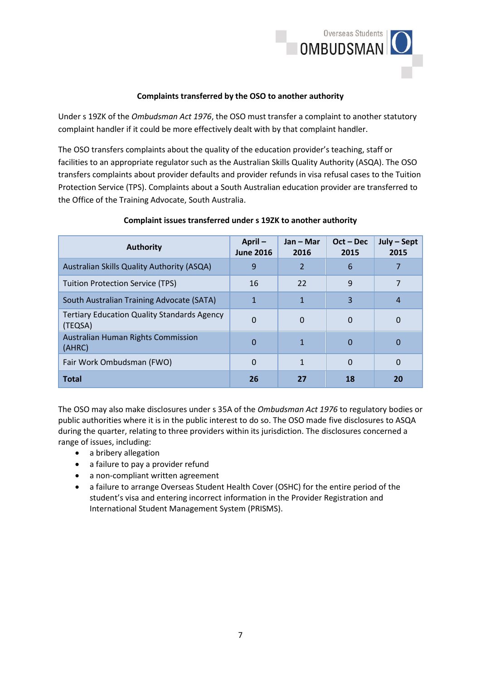

### **Complaints transferred by the OSO to another authority**

Under s 19ZK of the *Ombudsman Act 1976*, the OSO must transfer a complaint to another statutory complaint handler if it could be more effectively dealt with by that complaint handler.

The OSO transfers complaints about the quality of the education provider's teaching, staff or facilities to an appropriate regulator such as the Australian Skills Quality Authority (ASQA). The OSO transfers complaints about provider defaults and provider refunds in visa refusal cases to the Tuition Protection Service (TPS). Complaints about a South Australian education provider are transferred to the Office of the Training Advocate, South Australia.

| <b>Authority</b>                                              | April-<br><b>June 2016</b> | Jan – Mar<br>2016 | $Oct - Dec$<br>2015 | July - Sept<br>2015 |
|---------------------------------------------------------------|----------------------------|-------------------|---------------------|---------------------|
| Australian Skills Quality Authority (ASQA)                    | 9                          | 2                 | 6                   |                     |
| <b>Tuition Protection Service (TPS)</b>                       | 16                         | 22                | 9                   |                     |
| South Australian Training Advocate (SATA)                     |                            |                   | 3                   | 4                   |
| <b>Tertiary Education Quality Standards Agency</b><br>(TEQSA) | 0                          | 0                 | 0                   | 0                   |
| <b>Australian Human Rights Commission</b><br>(AHRC)           | 0                          |                   | 0                   | 0                   |
| Fair Work Ombudsman (FWO)                                     | 0                          | 1                 | $\Omega$            | 0                   |
| <b>Total</b>                                                  | 26                         | 27                | 18                  | 20                  |

#### **Complaint issues transferred under s 19ZK to another authority**

The OSO may also make disclosures under s 35A of the *Ombudsman Act 1976* to regulatory bodies or public authorities where it is in the public interest to do so. The OSO made five disclosures to ASQA during the quarter, relating to three providers within its jurisdiction. The disclosures concerned a range of issues, including:

- a bribery allegation
- a failure to pay a provider refund
- a non-compliant written agreement
- a failure to arrange Overseas Student Health Cover (OSHC) for the entire period of the student's visa and entering incorrect information in the Provider Registration and International Student Management System (PRISMS).